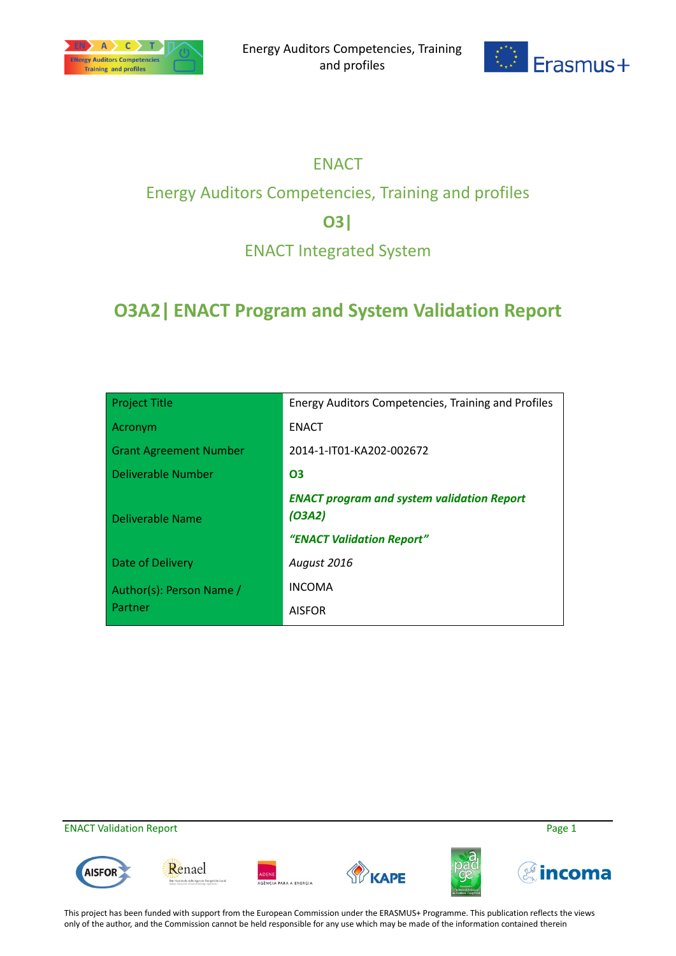



# ENACT

# Energy Auditors Competencies, Training and profiles

## **O3|**

## ENACT Integrated System

# **O3A2| ENACT Program and System Validation Report**

| <b>Project Title</b>          | Energy Auditors Competencies, Training and Profiles         |
|-------------------------------|-------------------------------------------------------------|
| Acronym                       | <b>ENACT</b>                                                |
| <b>Grant Agreement Number</b> | 2014-1-IT01-KA202-002672                                    |
| Deliverable Number            | 03                                                          |
| Deliverable Name              | <b>ENACT program and system validation Report</b><br>(O3A2) |
|                               | "ENACT Validation Report"                                   |
| Date of Delivery              | August 2016                                                 |
| Author(s): Person Name /      | <b>INCOMA</b>                                               |
| Partner                       | <b>AISFOR</b>                                               |

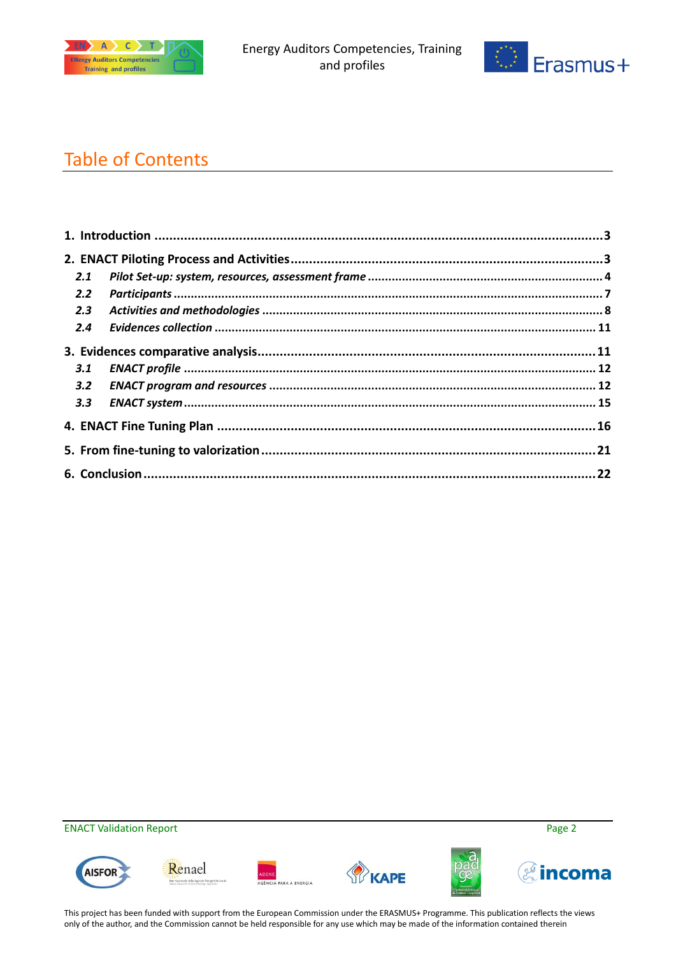



# Table of Contents

| 2.1           |  |
|---------------|--|
| $2.2^{\circ}$ |  |
| 2.3           |  |
| $2.4^{\circ}$ |  |
|               |  |
| 3.1           |  |
| 3.2           |  |
| 3.3           |  |
|               |  |
|               |  |
|               |  |

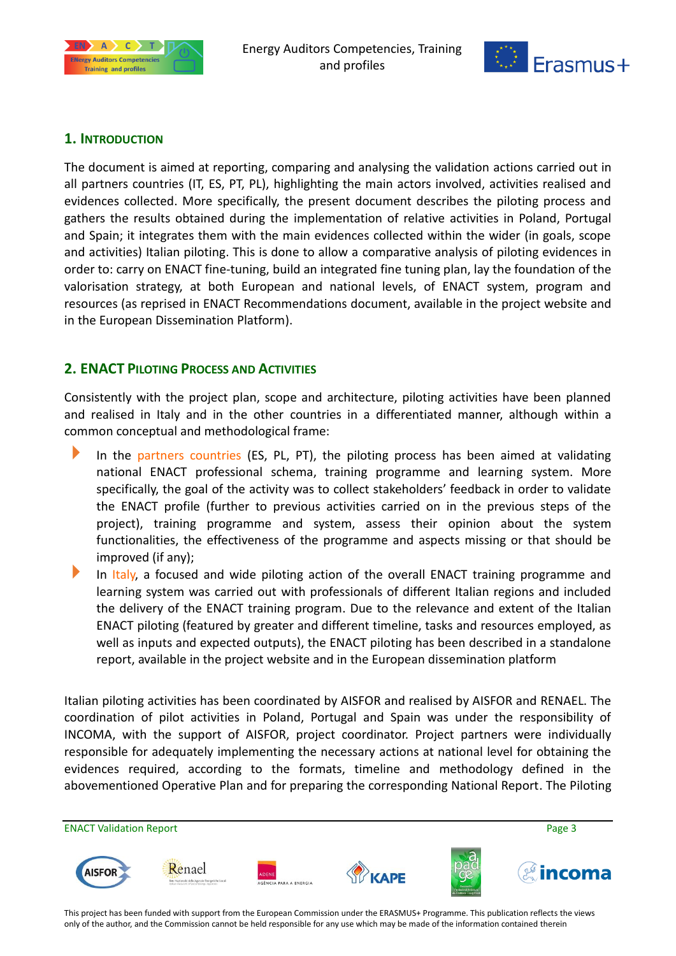



### <span id="page-2-0"></span>**1. INTRODUCTION**

The document is aimed at reporting, comparing and analysing the validation actions carried out in all partners countries (IT, ES, PT, PL), highlighting the main actors involved, activities realised and evidences collected. More specifically, the present document describes the piloting process and gathers the results obtained during the implementation of relative activities in Poland, Portugal and Spain; it integrates them with the main evidences collected within the wider (in goals, scope and activities) Italian piloting. This is done to allow a comparative analysis of piloting evidences in order to: carry on ENACT fine-tuning, build an integrated fine tuning plan, lay the foundation of the valorisation strategy, at both European and national levels, of ENACT system, program and resources (as reprised in ENACT Recommendations document, available in the project website and in the European Dissemination Platform).

### <span id="page-2-1"></span>**2. ENACT PILOTING PROCESS AND ACTIVITIES**

Consistently with the project plan, scope and architecture, piloting activities have been planned and realised in Italy and in the other countries in a differentiated manner, although within a common conceptual and methodological frame:

- In the partners countries (ES, PL, PT), the piloting process has been aimed at validating national ENACT professional schema, training programme and learning system. More specifically, the goal of the activity was to collect stakeholders' feedback in order to validate the ENACT profile (further to previous activities carried on in the previous steps of the project), training programme and system, assess their opinion about the system functionalities, the effectiveness of the programme and aspects missing or that should be improved (if any);
- In Italy, a focused and wide piloting action of the overall ENACT training programme and learning system was carried out with professionals of different Italian regions and included the delivery of the ENACT training program. Due to the relevance and extent of the Italian ENACT piloting (featured by greater and different timeline, tasks and resources employed, as well as inputs and expected outputs), the ENACT piloting has been described in a standalone report, available in the project website and in the European dissemination platform

Italian piloting activities has been coordinated by AISFOR and realised by AISFOR and RENAEL. The coordination of pilot activities in Poland, Portugal and Spain was under the responsibility of INCOMA, with the support of AISFOR, project coordinator. Project partners were individually responsible for adequately implementing the necessary actions at national level for obtaining the evidences required, according to the formats, timeline and methodology defined in the abovementioned Operative Plan and for preparing the corresponding National Report. The Piloting

ENACT Validation Report Page 3 Renael **AISFOI**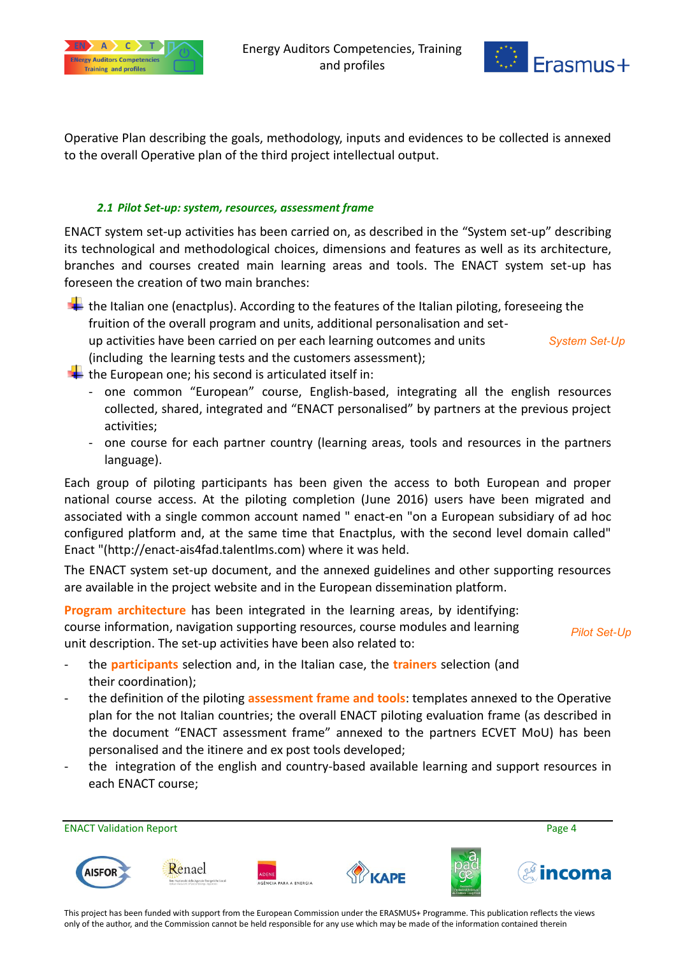



Operative Plan describing the goals, methodology, inputs and evidences to be collected is annexed to the overall Operative plan of the third project intellectual output.

#### *2.1 Pilot Set-up: system, resources, assessment frame*

<span id="page-3-0"></span>ENACT system set-up activities has been carried on, as described in the "System set-up" describing its technological and methodological choices, dimensions and features as well as its architecture, branches and courses created main learning areas and tools. The ENACT system set-up has foreseen the creation of two main branches:

 $\ddot{\phantom{a}}$  the Italian one (enactplus). According to the features of the Italian piloting, foreseeing the fruition of the overall program and units, additional personalisation and setup activities have been carried on per each learning outcomes and units (including the learning tests and the customers assessment); *System Set-Up*

- $\blacktriangleright$  the European one; his second is articulated itself in:
	- one common "European" course, English-based, integrating all the english resources collected, shared, integrated and "ENACT personalised" by partners at the previous project activities;
	- one course for each partner country (learning areas, tools and resources in the partners language).

Each group of piloting participants has been given the access to both European and proper national course access. At the piloting completion (June 2016) users have been migrated and associated with a single common account named " enact-en "on a European subsidiary of ad hoc configured platform and, at the same time that Enactplus, with the second level domain called" Enact "(http://enact-ais4fad.talentlms.com) where it was held.

The ENACT system set-up document, and the annexed guidelines and other supporting resources are available in the project website and in the European dissemination platform.

**Program architecture** has been integrated in the learning areas, by identifying: course information, navigation supporting resources, course modules and learning unit description. The set-up activities have been also related to:

*Pilot Set-Up*

- the **participants** selection and, in the Italian case, the **trainers** selection (and their coordination);
- the definition of the piloting **assessment frame and tools**: templates annexed to the Operative plan for the not Italian countries; the overall ENACT piloting evaluation frame (as described in the document "ENACT assessment frame" annexed to the partners ECVET MoU) has been personalised and the itinere and ex post tools developed;
- the integration of the english and country-based available learning and support resources in each ENACT course;

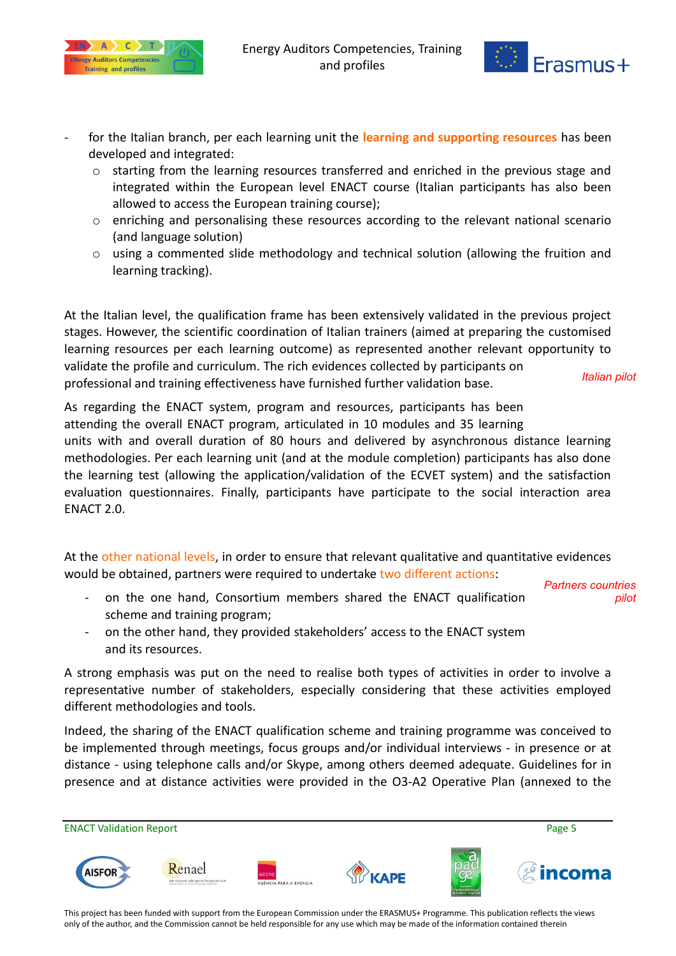



- for the Italian branch, per each learning unit the **learning and supporting resources** has been developed and integrated:
	- o starting from the learning resources transferred and enriched in the previous stage and integrated within the European level ENACT course (Italian participants has also been allowed to access the European training course);
	- o enriching and personalising these resources according to the relevant national scenario (and language solution)
	- o using a commented slide methodology and technical solution (allowing the fruition and learning tracking).

At the Italian level, the qualification frame has been extensively validated in the previous project stages. However, the scientific coordination of Italian trainers (aimed at preparing the customised learning resources per each learning outcome) as represented another relevant opportunity to validate the profile and curriculum. The rich evidences collected by participants on professional and training effectiveness have furnished further validation base. *Italian pilot*

As regarding the ENACT system, program and resources, participants has been attending the overall ENACT program, articulated in 10 modules and 35 learning units with and overall duration of 80 hours and delivered by asynchronous distance learning methodologies. Per each learning unit (and at the module completion) participants has also done the learning test (allowing the application/validation of the ECVET system) and the satisfaction evaluation questionnaires. Finally, participants have participate to the social interaction area ENACT 2.0.

At the other national levels, in order to ensure that relevant qualitative and quantitative evidences would be obtained, partners were required to undertake two different actions:

*Partners countries pilot*

- on the one hand, Consortium members shared the ENACT qualification scheme and training program;
- on the other hand, they provided stakeholders' access to the ENACT system and its resources.

A strong emphasis was put on the need to realise both types of activities in order to involve a representative number of stakeholders, especially considering that these activities employed different methodologies and tools.

Indeed, the sharing of the ENACT qualification scheme and training programme was conceived to be implemented through meetings, focus groups and/or individual interviews - in presence or at distance - using telephone calls and/or Skype, among others deemed adequate. Guidelines for in presence and at distance activities were provided in the O3-A2 Operative Plan (annexed to the

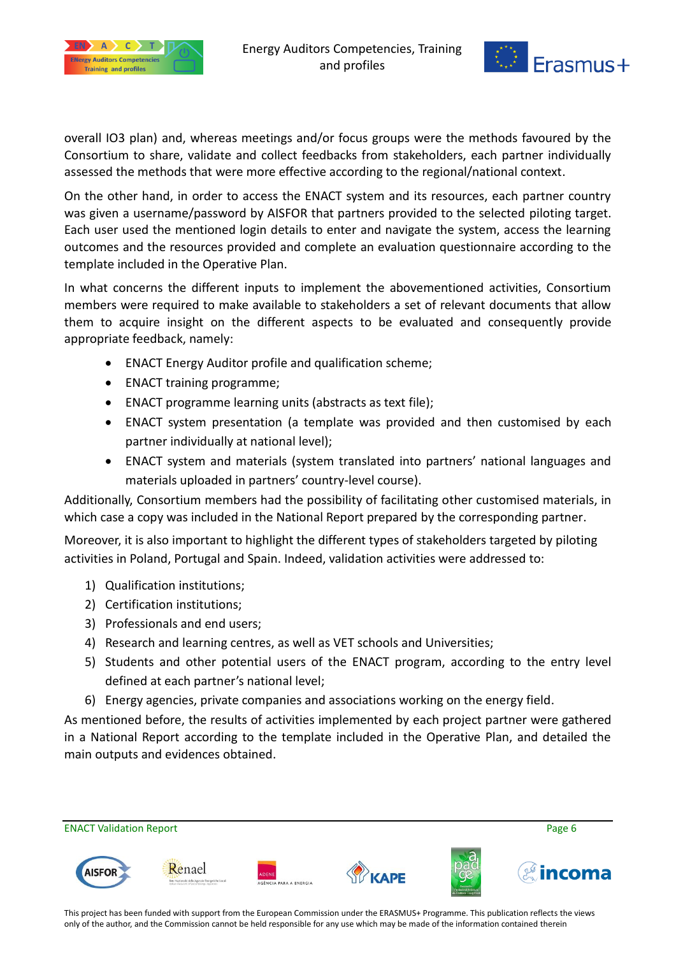



overall IO3 plan) and, whereas meetings and/or focus groups were the methods favoured by the Consortium to share, validate and collect feedbacks from stakeholders, each partner individually assessed the methods that were more effective according to the regional/national context.

On the other hand, in order to access the ENACT system and its resources, each partner country was given a username/password by AISFOR that partners provided to the selected piloting target. Each user used the mentioned login details to enter and navigate the system, access the learning outcomes and the resources provided and complete an evaluation questionnaire according to the template included in the Operative Plan.

In what concerns the different inputs to implement the abovementioned activities, Consortium members were required to make available to stakeholders a set of relevant documents that allow them to acquire insight on the different aspects to be evaluated and consequently provide appropriate feedback, namely:

- ENACT Energy Auditor profile and qualification scheme;
- ENACT training programme;
- ENACT programme learning units (abstracts as text file);
- ENACT system presentation (a template was provided and then customised by each partner individually at national level);
- ENACT system and materials (system translated into partners' national languages and materials uploaded in partners' country-level course).

Additionally, Consortium members had the possibility of facilitating other customised materials, in which case a copy was included in the National Report prepared by the corresponding partner.

Moreover, it is also important to highlight the different types of stakeholders targeted by piloting activities in Poland, Portugal and Spain. Indeed, validation activities were addressed to:

- 1) Qualification institutions;
- 2) Certification institutions;
- 3) Professionals and end users;
- 4) Research and learning centres, as well as VET schools and Universities;
- 5) Students and other potential users of the ENACT program, according to the entry level defined at each partner's national level;
- 6) Energy agencies, private companies and associations working on the energy field.

As mentioned before, the results of activities implemented by each project partner were gathered in a National Report according to the template included in the Operative Plan, and detailed the main outputs and evidences obtained.

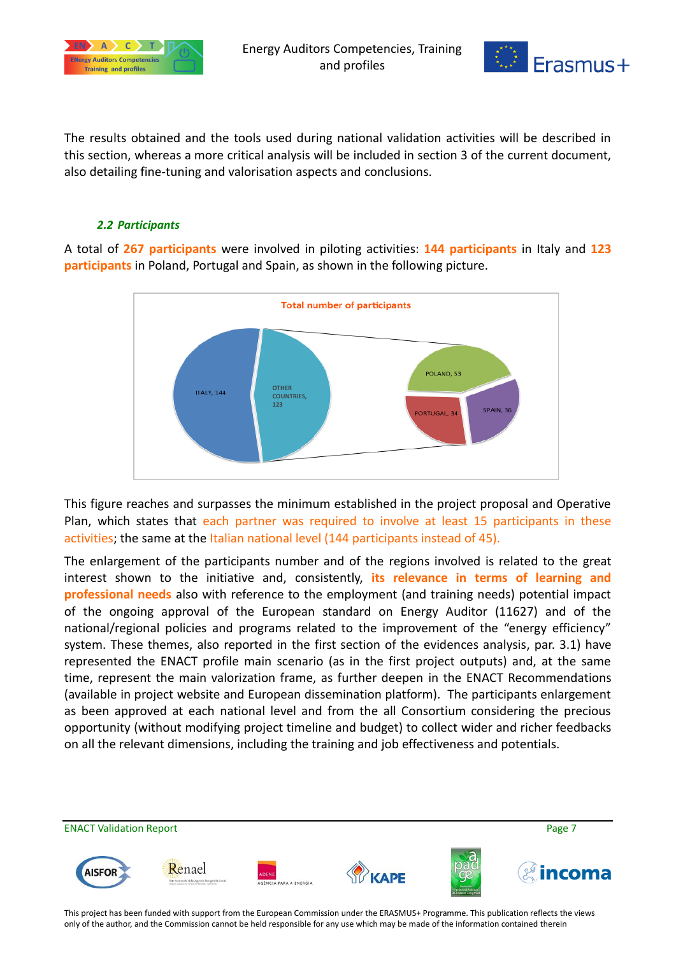



The results obtained and the tools used during national validation activities will be described in this section, whereas a more critical analysis will be included in section 3 of the current document, also detailing fine-tuning and valorisation aspects and conclusions.

#### *2.2 Participants*

<span id="page-6-0"></span>A total of **267 participants** were involved in piloting activities: **144 participants** in Italy and **123 participants** in Poland, Portugal and Spain, as shown in the following picture.



This figure reaches and surpasses the minimum established in the project proposal and Operative Plan, which states that each partner was required to involve at least 15 participants in these activities; the same at the Italian national level (144 participants instead of 45).

The enlargement of the participants number and of the regions involved is related to the great interest shown to the initiative and, consistently, **its relevance in terms of learning and professional needs** also with reference to the employment (and training needs) potential impact of the ongoing approval of the European standard on Energy Auditor (11627) and of the national/regional policies and programs related to the improvement of the "energy efficiency" system. These themes, also reported in the first section of the evidences analysis, par. 3.1) have represented the ENACT profile main scenario (as in the first project outputs) and, at the same time, represent the main valorization frame, as further deepen in the ENACT Recommendations (available in project website and European dissemination platform). The participants enlargement as been approved at each national level and from the all Consortium considering the precious opportunity (without modifying project timeline and budget) to collect wider and richer feedbacks on all the relevant dimensions, including the training and job effectiveness and potentials.

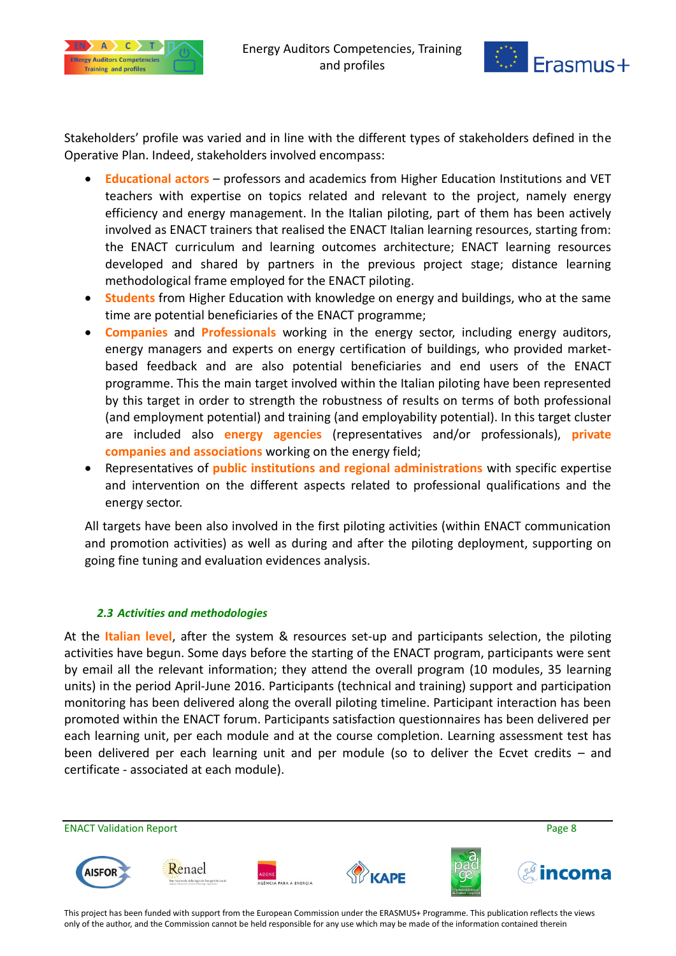



Stakeholders' profile was varied and in line with the different types of stakeholders defined in the Operative Plan. Indeed, stakeholders involved encompass:

- **Educational actors** professors and academics from Higher Education Institutions and VET teachers with expertise on topics related and relevant to the project, namely energy efficiency and energy management. In the Italian piloting, part of them has been actively involved as ENACT trainers that realised the ENACT Italian learning resources, starting from: the ENACT curriculum and learning outcomes architecture; ENACT learning resources developed and shared by partners in the previous project stage; distance learning methodological frame employed for the ENACT piloting.
- **Students** from Higher Education with knowledge on energy and buildings, who at the same time are potential beneficiaries of the ENACT programme;
- **Companies** and **Professionals** working in the energy sector, including energy auditors, energy managers and experts on energy certification of buildings, who provided marketbased feedback and are also potential beneficiaries and end users of the ENACT programme. This the main target involved within the Italian piloting have been represented by this target in order to strength the robustness of results on terms of both professional (and employment potential) and training (and employability potential). In this target cluster are included also **energy agencies** (representatives and/or professionals), **private companies and associations** working on the energy field;
- Representatives of **public institutions and regional administrations** with specific expertise and intervention on the different aspects related to professional qualifications and the energy sector.

All targets have been also involved in the first piloting activities (within ENACT communication and promotion activities) as well as during and after the piloting deployment, supporting on going fine tuning and evaluation evidences analysis.

#### *2.3 Activities and methodologies*

<span id="page-7-0"></span>At the **Italian level**, after the system & resources set-up and participants selection, the piloting activities have begun. Some days before the starting of the ENACT program, participants were sent by email all the relevant information; they attend the overall program (10 modules, 35 learning units) in the period April-June 2016. Participants (technical and training) support and participation monitoring has been delivered along the overall piloting timeline. Participant interaction has been promoted within the ENACT forum. Participants satisfaction questionnaires has been delivered per each learning unit, per each module and at the course completion. Learning assessment test has been delivered per each learning unit and per module (so to deliver the Ecvet credits – and certificate - associated at each module).

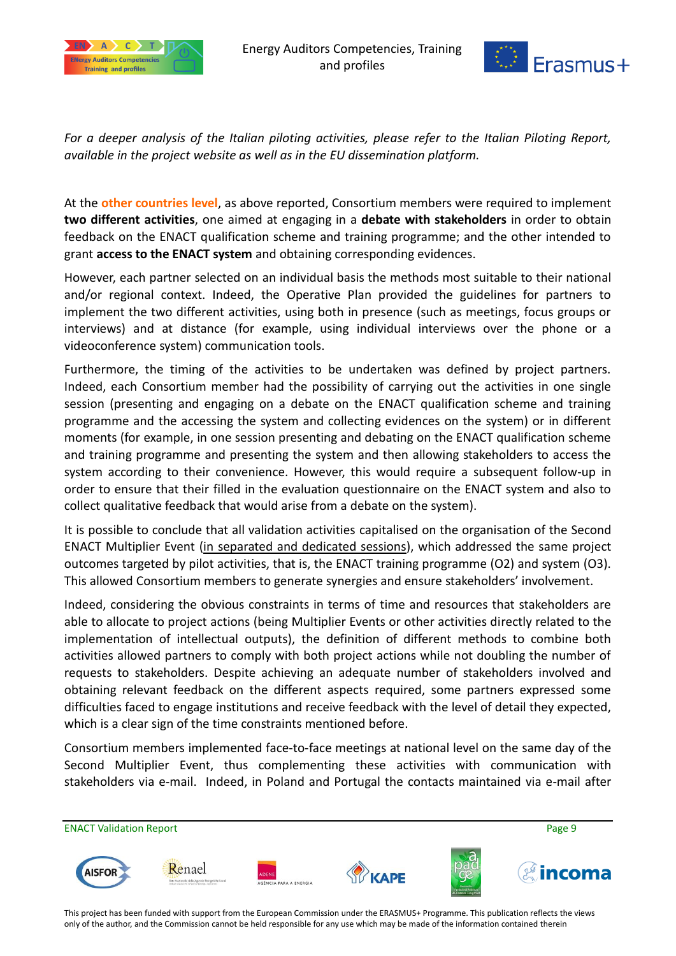



*For a deeper analysis of the Italian piloting activities, please refer to the Italian Piloting Report, available in the project website as well as in the EU dissemination platform.* 

At the **other countries level**, as above reported, Consortium members were required to implement **two different activities**, one aimed at engaging in a **debate with stakeholders** in order to obtain feedback on the ENACT qualification scheme and training programme; and the other intended to grant **access to the ENACT system** and obtaining corresponding evidences.

However, each partner selected on an individual basis the methods most suitable to their national and/or regional context. Indeed, the Operative Plan provided the guidelines for partners to implement the two different activities, using both in presence (such as meetings, focus groups or interviews) and at distance (for example, using individual interviews over the phone or a videoconference system) communication tools.

Furthermore, the timing of the activities to be undertaken was defined by project partners. Indeed, each Consortium member had the possibility of carrying out the activities in one single session (presenting and engaging on a debate on the ENACT qualification scheme and training programme and the accessing the system and collecting evidences on the system) or in different moments (for example, in one session presenting and debating on the ENACT qualification scheme and training programme and presenting the system and then allowing stakeholders to access the system according to their convenience. However, this would require a subsequent follow-up in order to ensure that their filled in the evaluation questionnaire on the ENACT system and also to collect qualitative feedback that would arise from a debate on the system).

It is possible to conclude that all validation activities capitalised on the organisation of the Second ENACT Multiplier Event (in separated and dedicated sessions), which addressed the same project outcomes targeted by pilot activities, that is, the ENACT training programme (O2) and system (O3). This allowed Consortium members to generate synergies and ensure stakeholders' involvement.

Indeed, considering the obvious constraints in terms of time and resources that stakeholders are able to allocate to project actions (being Multiplier Events or other activities directly related to the implementation of intellectual outputs), the definition of different methods to combine both activities allowed partners to comply with both project actions while not doubling the number of requests to stakeholders. Despite achieving an adequate number of stakeholders involved and obtaining relevant feedback on the different aspects required, some partners expressed some difficulties faced to engage institutions and receive feedback with the level of detail they expected, which is a clear sign of the time constraints mentioned before.

Consortium members implemented face-to-face meetings at national level on the same day of the Second Multiplier Event, thus complementing these activities with communication with stakeholders via e-mail. Indeed, in Poland and Portugal the contacts maintained via e-mail after

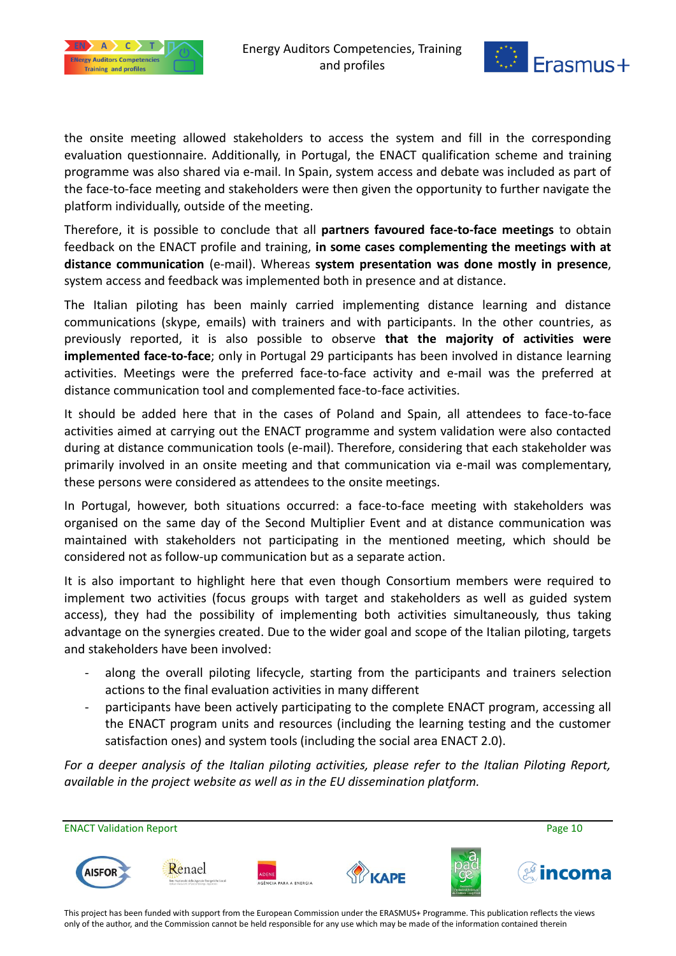



the onsite meeting allowed stakeholders to access the system and fill in the corresponding evaluation questionnaire. Additionally, in Portugal, the ENACT qualification scheme and training programme was also shared via e-mail. In Spain, system access and debate was included as part of the face-to-face meeting and stakeholders were then given the opportunity to further navigate the platform individually, outside of the meeting.

Therefore, it is possible to conclude that all **partners favoured face-to-face meetings** to obtain feedback on the ENACT profile and training, **in some cases complementing the meetings with at distance communication** (e-mail). Whereas **system presentation was done mostly in presence**, system access and feedback was implemented both in presence and at distance.

The Italian piloting has been mainly carried implementing distance learning and distance communications (skype, emails) with trainers and with participants. In the other countries, as previously reported, it is also possible to observe **that the majority of activities were implemented face-to-face**; only in Portugal 29 participants has been involved in distance learning activities. Meetings were the preferred face-to-face activity and e-mail was the preferred at distance communication tool and complemented face-to-face activities.

It should be added here that in the cases of Poland and Spain, all attendees to face-to-face activities aimed at carrying out the ENACT programme and system validation were also contacted during at distance communication tools (e-mail). Therefore, considering that each stakeholder was primarily involved in an onsite meeting and that communication via e-mail was complementary, these persons were considered as attendees to the onsite meetings.

In Portugal, however, both situations occurred: a face-to-face meeting with stakeholders was organised on the same day of the Second Multiplier Event and at distance communication was maintained with stakeholders not participating in the mentioned meeting, which should be considered not as follow-up communication but as a separate action.

It is also important to highlight here that even though Consortium members were required to implement two activities (focus groups with target and stakeholders as well as guided system access), they had the possibility of implementing both activities simultaneously, thus taking advantage on the synergies created. Due to the wider goal and scope of the Italian piloting, targets and stakeholders have been involved:

- along the overall piloting lifecycle, starting from the participants and trainers selection actions to the final evaluation activities in many different
- participants have been actively participating to the complete ENACT program, accessing all the ENACT program units and resources (including the learning testing and the customer satisfaction ones) and system tools (including the social area ENACT 2.0).

*For a deeper analysis of the Italian piloting activities, please refer to the Italian Piloting Report, available in the project website as well as in the EU dissemination platform.* 

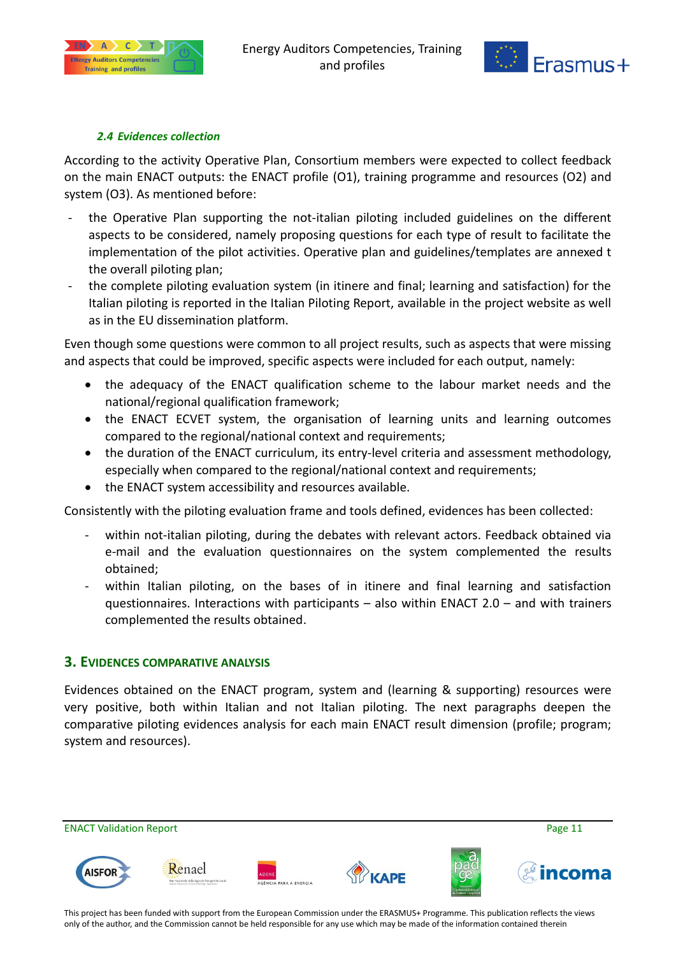



#### *2.4 Evidences collection*

<span id="page-10-0"></span>According to the activity Operative Plan, Consortium members were expected to collect feedback on the main ENACT outputs: the ENACT profile (O1), training programme and resources (O2) and system (O3). As mentioned before:

- the Operative Plan supporting the not-italian piloting included guidelines on the different aspects to be considered, namely proposing questions for each type of result to facilitate the implementation of the pilot activities. Operative plan and guidelines/templates are annexed t the overall piloting plan;
- the complete piloting evaluation system (in itinere and final; learning and satisfaction) for the Italian piloting is reported in the Italian Piloting Report, available in the project website as well as in the EU dissemination platform.

Even though some questions were common to all project results, such as aspects that were missing and aspects that could be improved, specific aspects were included for each output, namely:

- the adequacy of the ENACT qualification scheme to the labour market needs and the national/regional qualification framework;
- the ENACT ECVET system, the organisation of learning units and learning outcomes compared to the regional/national context and requirements;
- the duration of the ENACT curriculum, its entry-level criteria and assessment methodology, especially when compared to the regional/national context and requirements;
- the ENACT system accessibility and resources available.

Consistently with the piloting evaluation frame and tools defined, evidences has been collected:

- within not-italian piloting, during the debates with relevant actors. Feedback obtained via e-mail and the evaluation questionnaires on the system complemented the results obtained;
- within Italian piloting, on the bases of in itinere and final learning and satisfaction questionnaires. Interactions with participants – also within ENACT 2.0 – and with trainers complemented the results obtained.

#### <span id="page-10-1"></span>**3. EVIDENCES COMPARATIVE ANALYSIS**

Evidences obtained on the ENACT program, system and (learning & supporting) resources were very positive, both within Italian and not Italian piloting. The next paragraphs deepen the comparative piloting evidences analysis for each main ENACT result dimension (profile; program; system and resources).

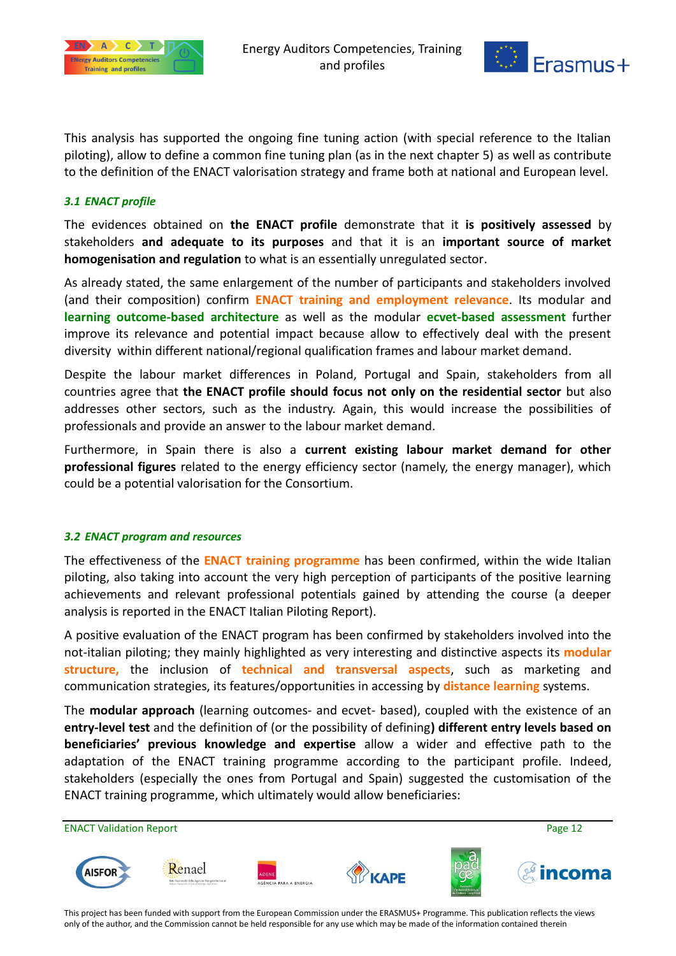



This analysis has supported the ongoing fine tuning action (with special reference to the Italian piloting), allow to define a common fine tuning plan (as in the next chapter 5) as well as contribute to the definition of the ENACT valorisation strategy and frame both at national and European level.

#### <span id="page-11-0"></span>*3.1 ENACT profile*

The evidences obtained on **the ENACT profile** demonstrate that it **is positively assessed** by stakeholders **and adequate to its purposes** and that it is an **important source of market homogenisation and regulation** to what is an essentially unregulated sector.

As already stated, the same enlargement of the number of participants and stakeholders involved (and their composition) confirm **ENACT training and employment relevance**. Its modular and **learning outcome-based architecture** as well as the modular **ecvet-based assessment** further improve its relevance and potential impact because allow to effectively deal with the present diversity within different national/regional qualification frames and labour market demand.

Despite the labour market differences in Poland, Portugal and Spain, stakeholders from all countries agree that **the ENACT profile should focus not only on the residential sector** but also addresses other sectors, such as the industry. Again, this would increase the possibilities of professionals and provide an answer to the labour market demand.

Furthermore, in Spain there is also a **current existing labour market demand for other professional figures** related to the energy efficiency sector (namely, the energy manager), which could be a potential valorisation for the Consortium.

#### <span id="page-11-1"></span>*3.2 ENACT program and resources*

The effectiveness of the **ENACT training programme** has been confirmed, within the wide Italian piloting, also taking into account the very high perception of participants of the positive learning achievements and relevant professional potentials gained by attending the course (a deeper analysis is reported in the ENACT Italian Piloting Report).

A positive evaluation of the ENACT program has been confirmed by stakeholders involved into the not-italian piloting; they mainly highlighted as very interesting and distinctive aspects its **modular structure,** the inclusion of **technical and transversal aspects**, such as marketing and communication strategies, its features/opportunities in accessing by **distance learning** systems.

The **modular approach** (learning outcomes- and ecvet- based), coupled with the existence of an **entry-level test** and the definition of (or the possibility of defining**) different entry levels based on beneficiaries' previous knowledge and expertise** allow a wider and effective path to the adaptation of the ENACT training programme according to the participant profile. Indeed, stakeholders (especially the ones from Portugal and Spain) suggested the customisation of the ENACT training programme, which ultimately would allow beneficiaries:

ENACT Validation Report **Page 12** and 20 and 20 and 20 and 20 and 20 and 20 and 20 and 20 and 20 and 20 and 20 and 20 and 20 and 20 and 20 and 20 and 20 and 20 and 20 and 20 and 20 and 20 and 20 and 20 and 20 and 20 and 20 Renael **AISFOR**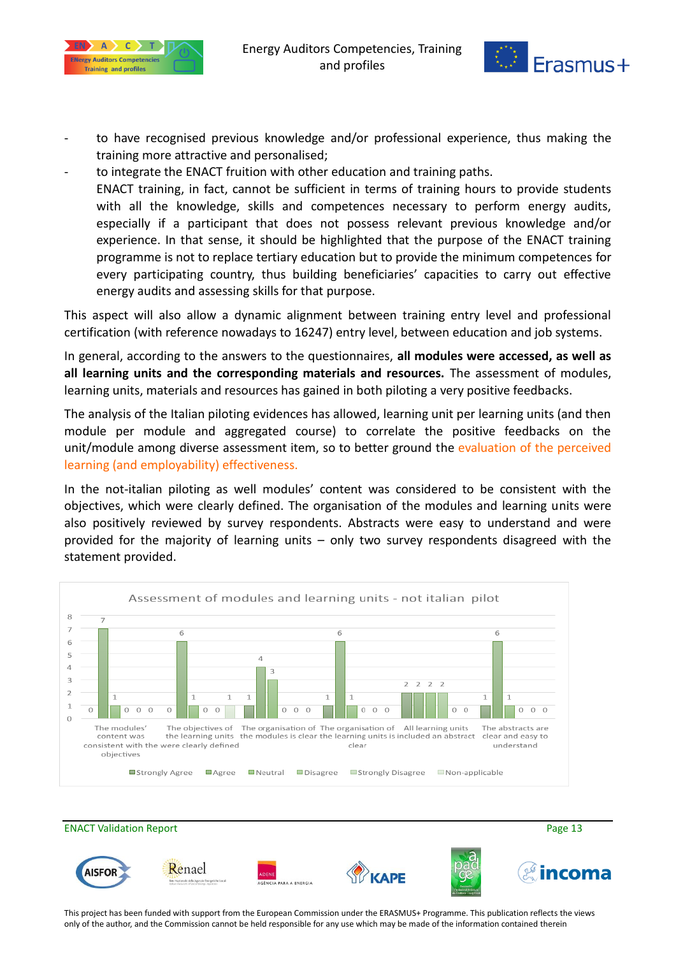



- to have recognised previous knowledge and/or professional experience, thus making the training more attractive and personalised;
- to integrate the ENACT fruition with other education and training paths. ENACT training, in fact, cannot be sufficient in terms of training hours to provide students with all the knowledge, skills and competences necessary to perform energy audits, especially if a participant that does not possess relevant previous knowledge and/or experience. In that sense, it should be highlighted that the purpose of the ENACT training programme is not to replace tertiary education but to provide the minimum competences for every participating country, thus building beneficiaries' capacities to carry out effective energy audits and assessing skills for that purpose.

This aspect will also allow a dynamic alignment between training entry level and professional certification (with reference nowadays to 16247) entry level, between education and job systems.

In general, according to the answers to the questionnaires, **all modules were accessed, as well as all learning units and the corresponding materials and resources.** The assessment of modules, learning units, materials and resources has gained in both piloting a very positive feedbacks.

The analysis of the Italian piloting evidences has allowed, learning unit per learning units (and then module per module and aggregated course) to correlate the positive feedbacks on the unit/module among diverse assessment item, so to better ground the evaluation of the perceived learning (and employability) effectiveness.

In the not-italian piloting as well modules' content was considered to be consistent with the objectives, which were clearly defined. The organisation of the modules and learning units were also positively reviewed by survey respondents. Abstracts were easy to understand and were provided for the majority of learning units – only two survey respondents disagreed with the statement provided.



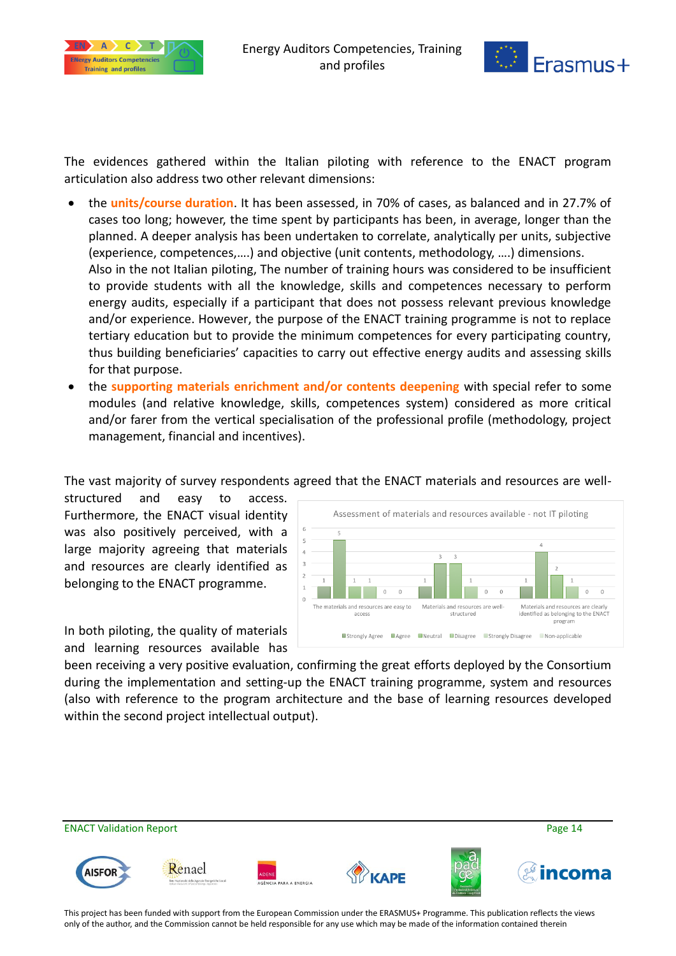



The evidences gathered within the Italian piloting with reference to the ENACT program articulation also address two other relevant dimensions:

- the **units/course duration**. It has been assessed, in 70% of cases, as balanced and in 27.7% of cases too long; however, the time spent by participants has been, in average, longer than the planned. A deeper analysis has been undertaken to correlate, analytically per units, subjective (experience, competences,….) and objective (unit contents, methodology, ….) dimensions. Also in the not Italian piloting, The number of training hours was considered to be insufficient to provide students with all the knowledge, skills and competences necessary to perform energy audits, especially if a participant that does not possess relevant previous knowledge and/or experience. However, the purpose of the ENACT training programme is not to replace tertiary education but to provide the minimum competences for every participating country, thus building beneficiaries' capacities to carry out effective energy audits and assessing skills for that purpose.
- the **supporting materials enrichment and/or contents deepening** with special refer to some modules (and relative knowledge, skills, competences system) considered as more critical and/or farer from the vertical specialisation of the professional profile (methodology, project management, financial and incentives).

The vast majority of survey respondents agreed that the ENACT materials and resources are well-

structured and easy to access. Furthermore, the ENACT visual identity was also positively perceived, with a large majority agreeing that materials and resources are clearly identified as belonging to the ENACT programme.



In both piloting, the quality of materials and learning resources available has

been receiving a very positive evaluation, confirming the great efforts deployed by the Consortium during the implementation and setting-up the ENACT training programme, system and resources (also with reference to the program architecture and the base of learning resources developed within the second project intellectual output).

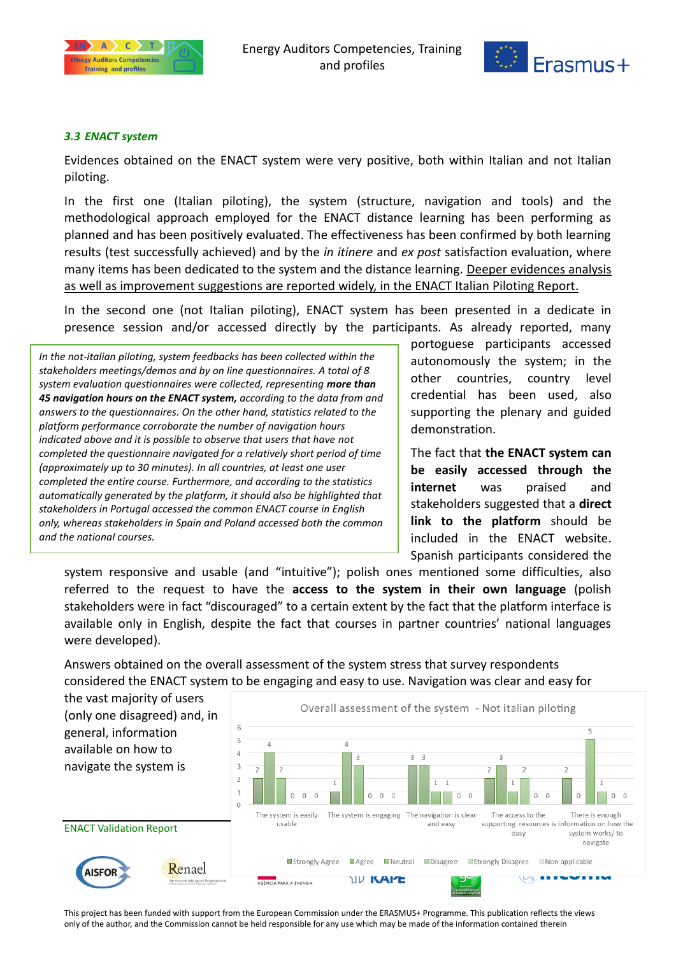



#### <span id="page-14-0"></span>*3.3 ENACT system*

Evidences obtained on the ENACT system were very positive, both within Italian and not Italian piloting.

In the first one (Italian piloting), the system (structure, navigation and tools) and the methodological approach employed for the ENACT distance learning has been performing as planned and has been positively evaluated. The effectiveness has been confirmed by both learning results (test successfully achieved) and by the *in itinere* and *ex post* satisfaction evaluation, where many items has been dedicated to the system and the distance learning. Deeper evidences analysis as well as improvement suggestions are reported widely, in the ENACT Italian Piloting Report.

In the second one (not Italian piloting), ENACT system has been presented in a dedicate in presence session and/or accessed directly by the participants. As already reported, many

*In the not-italian piloting, system feedbacks has been collected within the stakeholders meetings/demos and by on line questionnaires. A total of 8 system evaluation questionnaires were collected, representing more than 45 navigation hours on the ENACT system, according to the data from and answers to the questionnaires. On the other hand, statistics related to the platform performance corroborate the number of navigation hours indicated above and it is possible to observe that users that have not completed the questionnaire navigated for a relatively short period of time (approximately up to 30 minutes). In all countries, at least one user completed the entire course. Furthermore, and according to the statistics automatically generated by the platform, it should also be highlighted that stakeholders in Portugal accessed the common ENACT course in English only, whereas stakeholders in Spain and Poland accessed both the common and the national courses.*

portoguese participants accessed autonomously the system; in the other countries, country level credential has been used, also supporting the plenary and guided demonstration.

The fact that **the ENACT system can be easily accessed through the internet** was praised and stakeholders suggested that a **direct link to the platform** should be included in the ENACT website. Spanish participants considered the

system responsive and usable (and "intuitive"); polish ones mentioned some difficulties, also referred to the request to have the **access to the system in their own language** (polish stakeholders were in fact "discouraged" to a certain extent by the fact that the platform interface is available only in English, despite the fact that courses in partner countries' national languages were developed).

Answers obtained on the overall assessment of the system stress that survey respondents considered the ENACT system to be engaging and easy to use. Navigation was clear and easy for

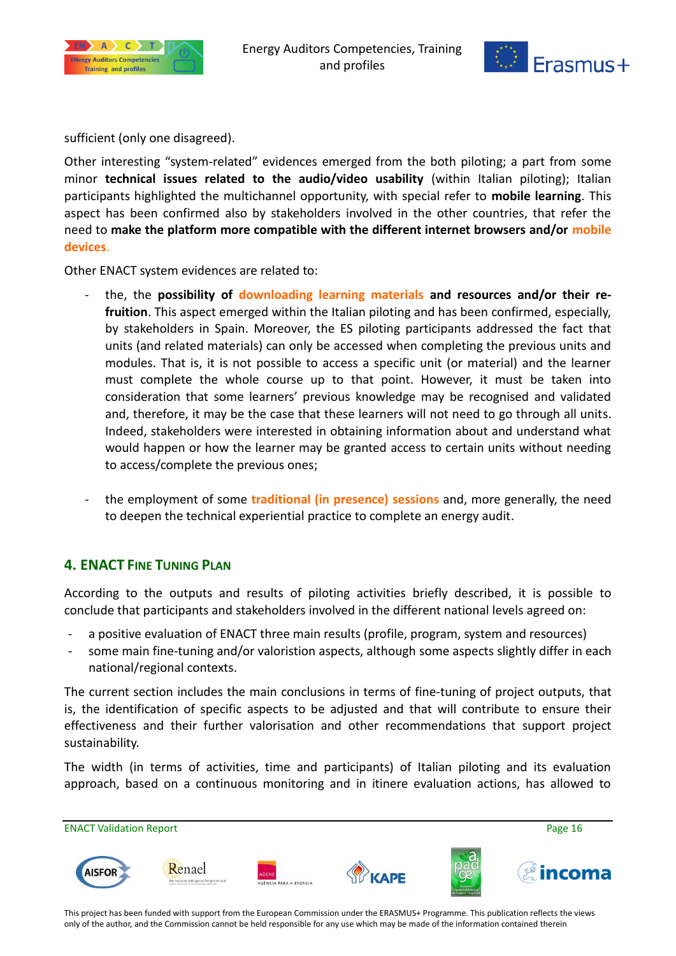



sufficient (only one disagreed).

Other interesting "system-related" evidences emerged from the both piloting; a part from some minor **technical issues related to the audio/video usability** (within Italian piloting); Italian participants highlighted the multichannel opportunity, with special refer to **mobile learning**. This aspect has been confirmed also by stakeholders involved in the other countries, that refer the need to **make the platform more compatible with the different internet browsers and/or mobile devices**.

Other ENACT system evidences are related to:

- the, the **possibility of downloading learning materials and resources and/or their refruition**. This aspect emerged within the Italian piloting and has been confirmed, especially, by stakeholders in Spain. Moreover, the ES piloting participants addressed the fact that units (and related materials) can only be accessed when completing the previous units and modules. That is, it is not possible to access a specific unit (or material) and the learner must complete the whole course up to that point. However, it must be taken into consideration that some learners' previous knowledge may be recognised and validated and, therefore, it may be the case that these learners will not need to go through all units. Indeed, stakeholders were interested in obtaining information about and understand what would happen or how the learner may be granted access to certain units without needing to access/complete the previous ones;
- the employment of some **traditional (in presence) sessions** and, more generally, the need to deepen the technical experiential practice to complete an energy audit.

### <span id="page-15-0"></span>**4. ENACT FINE TUNING PLAN**

According to the outputs and results of piloting activities briefly described, it is possible to conclude that participants and stakeholders involved in the different national levels agreed on:

- a positive evaluation of ENACT three main results (profile, program, system and resources)
- some main fine-tuning and/or valoristion aspects, although some aspects slightly differ in each national/regional contexts.

The current section includes the main conclusions in terms of fine-tuning of project outputs, that is, the identification of specific aspects to be adjusted and that will contribute to ensure their effectiveness and their further valorisation and other recommendations that support project sustainability.

The width (in terms of activities, time and participants) of Italian piloting and its evaluation approach, based on a continuous monitoring and in itinere evaluation actions, has allowed to

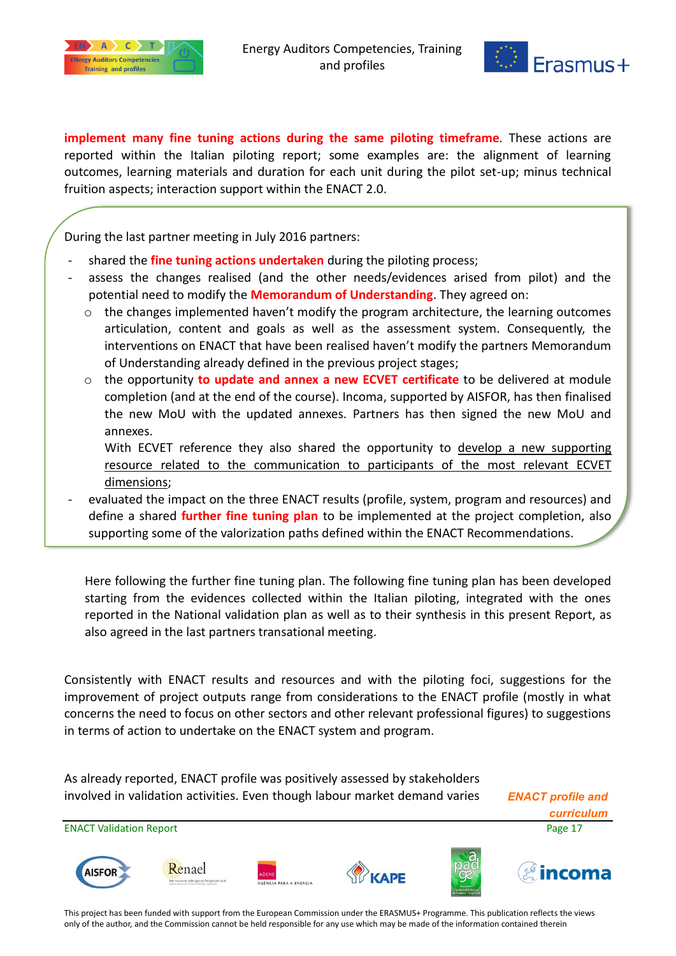



**implement many fine tuning actions during the same piloting timeframe**. These actions are reported within the Italian piloting report; some examples are: the alignment of learning outcomes, learning materials and duration for each unit during the pilot set-up; minus technical fruition aspects; interaction support within the ENACT 2.0.

During the last partner meeting in July 2016 partners:

- shared the **fine tuning actions undertaken** during the piloting process;
- assess the changes realised (and the other needs/evidences arised from pilot) and the potential need to modify the **Memorandum of Understanding**. They agreed on:
	- $\circ$  the changes implemented haven't modify the program architecture, the learning outcomes articulation, content and goals as well as the assessment system. Consequently, the interventions on ENACT that have been realised haven't modify the partners Memorandum of Understanding already defined in the previous project stages;
	- o the opportunity **to update and annex a new ECVET certificate** to be delivered at module completion (and at the end of the course). Incoma, supported by AISFOR, has then finalised the new MoU with the updated annexes. Partners has then signed the new MoU and annexes.
		- With ECVET reference they also shared the opportunity to develop a new supporting resource related to the communication to participants of the most relevant ECVET dimensions;
- evaluated the impact on the three ENACT results (profile, system, program and resources) and define a shared **further fine tuning plan** to be implemented at the project completion, also supporting some of the valorization paths defined within the ENACT Recommendations.

Here following the further fine tuning plan. The following fine tuning plan has been developed starting from the evidences collected within the Italian piloting, integrated with the ones reported in the National validation plan as well as to their synthesis in this present Report, as also agreed in the last partners transational meeting.

Consistently with ENACT results and resources and with the piloting foci, suggestions for the improvement of project outputs range from considerations to the ENACT profile (mostly in what concerns the need to focus on other sectors and other relevant professional figures) to suggestions in terms of action to undertake on the ENACT system and program.

As already reported, ENACT profile was positively assessed by stakeholders involved in validation activities. Even though labour market demand varies *ENACT profile and* 

*curriculum*

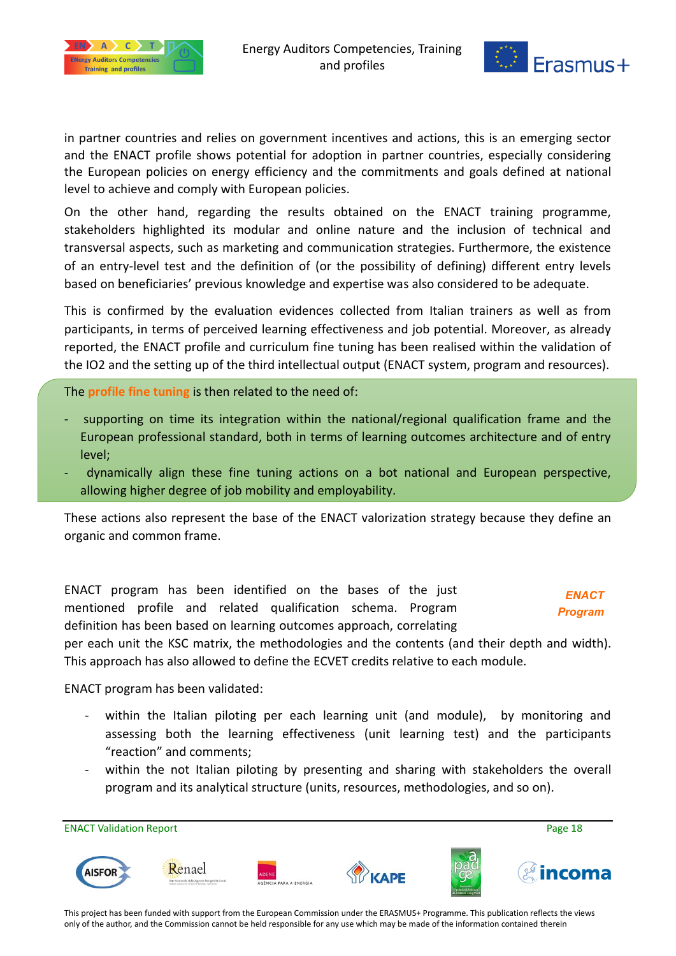



in partner countries and relies on government incentives and actions, this is an emerging sector and the ENACT profile shows potential for adoption in partner countries, especially considering the European policies on energy efficiency and the commitments and goals defined at national level to achieve and comply with European policies.

On the other hand, regarding the results obtained on the ENACT training programme, stakeholders highlighted its modular and online nature and the inclusion of technical and transversal aspects, such as marketing and communication strategies. Furthermore, the existence of an entry-level test and the definition of (or the possibility of defining) different entry levels based on beneficiaries' previous knowledge and expertise was also considered to be adequate.

This is confirmed by the evaluation evidences collected from Italian trainers as well as from participants, in terms of perceived learning effectiveness and job potential. Moreover, as already reported, the ENACT profile and curriculum fine tuning has been realised within the validation of the IO2 and the setting up of the third intellectual output (ENACT system, program and resources).

The **profile fine tuning** is then related to the need of:

- supporting on time its integration within the national/regional qualification frame and the European professional standard, both in terms of learning outcomes architecture and of entry level;
- dynamically align these fine tuning actions on a bot national and European perspective, allowing higher degree of job mobility and employability.

These actions also represent the base of the ENACT valorization strategy because they define an organic and common frame.

ENACT program has been identified on the bases of the just mentioned profile and related qualification schema. Program definition has been based on learning outcomes approach, correlating

*ENACT Program*

per each unit the KSC matrix, the methodologies and the contents (and their depth and width). This approach has also allowed to define the ECVET credits relative to each module.

ENACT program has been validated:

- within the Italian piloting per each learning unit (and module), by monitoring and assessing both the learning effectiveness (unit learning test) and the participants "reaction" and comments;
- within the not Italian piloting by presenting and sharing with stakeholders the overall program and its analytical structure (units, resources, methodologies, and so on).

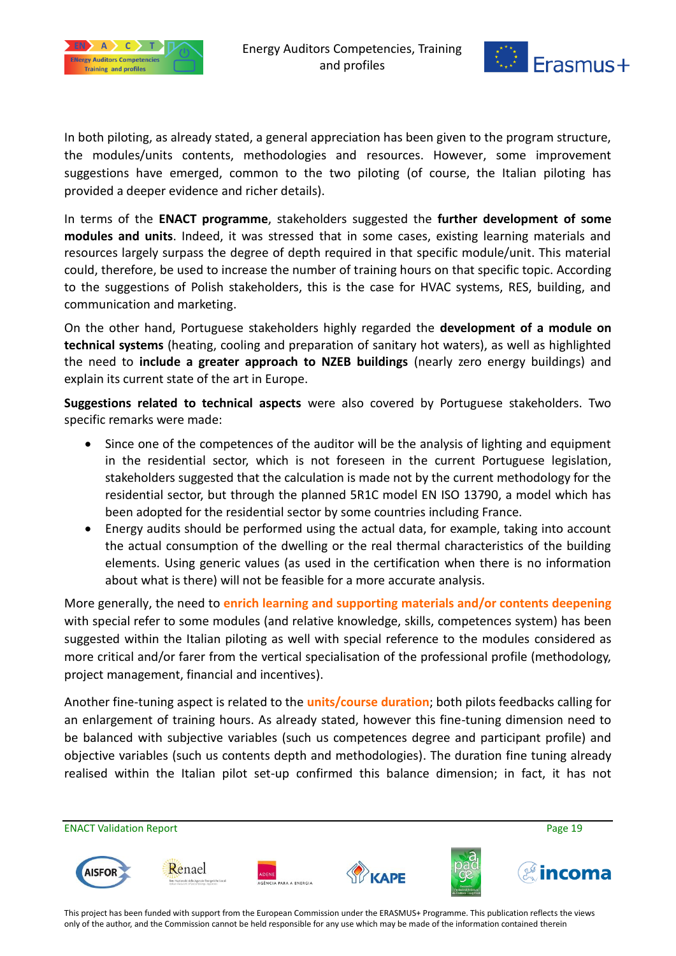



In both piloting, as already stated, a general appreciation has been given to the program structure, the modules/units contents, methodologies and resources. However, some improvement suggestions have emerged, common to the two piloting (of course, the Italian piloting has provided a deeper evidence and richer details).

In terms of the **ENACT programme**, stakeholders suggested the **further development of some modules and units**. Indeed, it was stressed that in some cases, existing learning materials and resources largely surpass the degree of depth required in that specific module/unit. This material could, therefore, be used to increase the number of training hours on that specific topic. According to the suggestions of Polish stakeholders, this is the case for HVAC systems, RES, building, and communication and marketing.

On the other hand, Portuguese stakeholders highly regarded the **development of a module on technical systems** (heating, cooling and preparation of sanitary hot waters), as well as highlighted the need to **include a greater approach to NZEB buildings** (nearly zero energy buildings) and explain its current state of the art in Europe.

**Suggestions related to technical aspects** were also covered by Portuguese stakeholders. Two specific remarks were made:

- Since one of the competences of the auditor will be the analysis of lighting and equipment in the residential sector, which is not foreseen in the current Portuguese legislation, stakeholders suggested that the calculation is made not by the current methodology for the residential sector, but through the planned 5R1C model EN ISO 13790, a model which has been adopted for the residential sector by some countries including France.
- Energy audits should be performed using the actual data, for example, taking into account the actual consumption of the dwelling or the real thermal characteristics of the building elements. Using generic values (as used in the certification when there is no information about what is there) will not be feasible for a more accurate analysis.

More generally, the need to **enrich learning and supporting materials and/or contents deepening** with special refer to some modules (and relative knowledge, skills, competences system) has been suggested within the Italian piloting as well with special reference to the modules considered as more critical and/or farer from the vertical specialisation of the professional profile (methodology, project management, financial and incentives).

Another fine-tuning aspect is related to the **units/course duration**; both pilots feedbacks calling for an enlargement of training hours. As already stated, however this fine-tuning dimension need to be balanced with subjective variables (such us competences degree and participant profile) and objective variables (such us contents depth and methodologies). The duration fine tuning already realised within the Italian pilot set-up confirmed this balance dimension; in fact, it has not

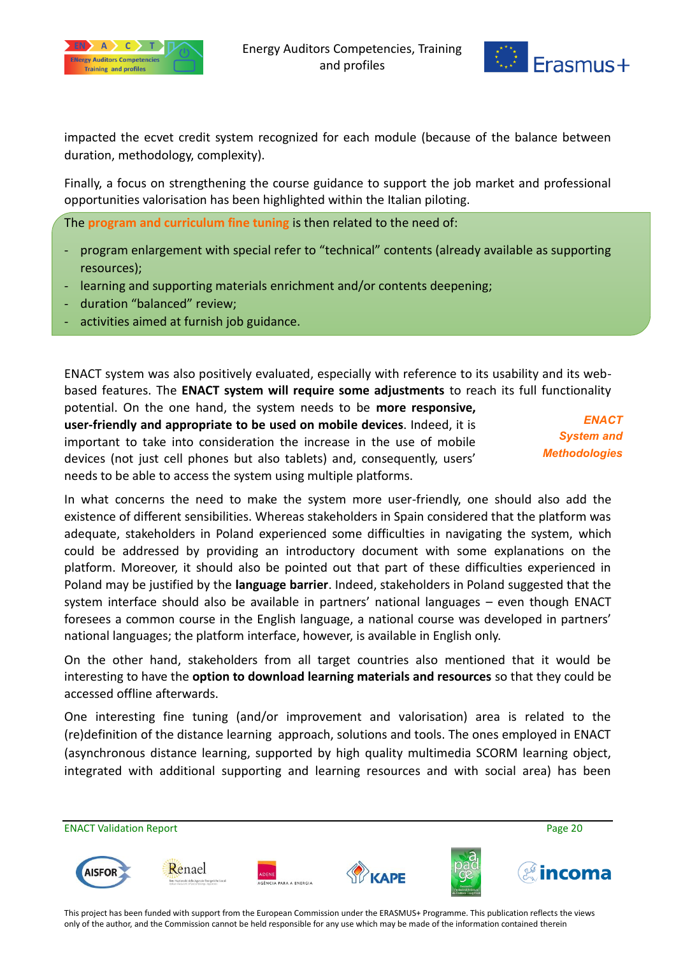



impacted the ecvet credit system recognized for each module (because of the balance between duration, methodology, complexity).

Finally, a focus on strengthening the course guidance to support the job market and professional opportunities valorisation has been highlighted within the Italian piloting.

The **program and curriculum fine tuning** is then related to the need of:

- program enlargement with special refer to "technical" contents (already available as supporting resources);
- learning and supporting materials enrichment and/or contents deepening;
- duration "balanced" review;
- activities aimed at furnish job guidance.

ENACT system was also positively evaluated, especially with reference to its usability and its webbased features. The **ENACT system will require some adjustments** to reach its full functionality

potential. On the one hand, the system needs to be **more responsive, user-friendly and appropriate to be used on mobile devices**. Indeed, it is important to take into consideration the increase in the use of mobile devices (not just cell phones but also tablets) and, consequently, users' needs to be able to access the system using multiple platforms.

*ENACT System and Methodologies*

In what concerns the need to make the system more user-friendly, one should also add the existence of different sensibilities. Whereas stakeholders in Spain considered that the platform was adequate, stakeholders in Poland experienced some difficulties in navigating the system, which could be addressed by providing an introductory document with some explanations on the platform. Moreover, it should also be pointed out that part of these difficulties experienced in Poland may be justified by the **language barrier**. Indeed, stakeholders in Poland suggested that the system interface should also be available in partners' national languages – even though ENACT foresees a common course in the English language, a national course was developed in partners' national languages; the platform interface, however, is available in English only.

On the other hand, stakeholders from all target countries also mentioned that it would be interesting to have the **option to download learning materials and resources** so that they could be accessed offline afterwards.

One interesting fine tuning (and/or improvement and valorisation) area is related to the (re)definition of the distance learning approach, solutions and tools. The ones employed in ENACT (asynchronous distance learning, supported by high quality multimedia SCORM learning object, integrated with additional supporting and learning resources and with social area) has been

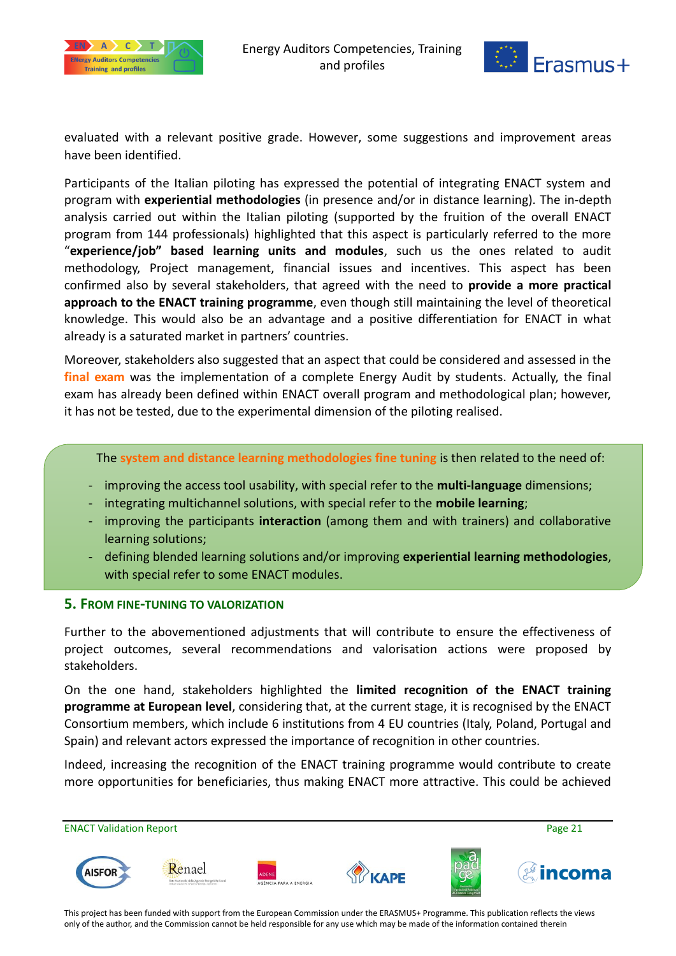



evaluated with a relevant positive grade. However, some suggestions and improvement areas have been identified.

Participants of the Italian piloting has expressed the potential of integrating ENACT system and program with **experiential methodologies** (in presence and/or in distance learning). The in-depth analysis carried out within the Italian piloting (supported by the fruition of the overall ENACT program from 144 professionals) highlighted that this aspect is particularly referred to the more "**experience/job" based learning units and modules**, such us the ones related to audit methodology, Project management, financial issues and incentives. This aspect has been confirmed also by several stakeholders, that agreed with the need to **provide a more practical approach to the ENACT training programme**, even though still maintaining the level of theoretical knowledge. This would also be an advantage and a positive differentiation for ENACT in what already is a saturated market in partners' countries.

Moreover, stakeholders also suggested that an aspect that could be considered and assessed in the **final exam** was the implementation of a complete Energy Audit by students. Actually, the final exam has already been defined within ENACT overall program and methodological plan; however, it has not be tested, due to the experimental dimension of the piloting realised.

The **system and distance learning methodologies fine tuning** is then related to the need of:

- improving the access tool usability, with special refer to the **multi-language** dimensions;
- integrating multichannel solutions, with special refer to the **mobile learning**;
- improving the participants **interaction** (among them and with trainers) and collaborative learning solutions;
- defining blended learning solutions and/or improving **experiential learning methodologies**, with special refer to some ENACT modules.

#### <span id="page-20-0"></span>**5. FROM FINE-TUNING TO VALORIZATION**

Further to the abovementioned adjustments that will contribute to ensure the effectiveness of project outcomes, several recommendations and valorisation actions were proposed by stakeholders.

On the one hand, stakeholders highlighted the **limited recognition of the ENACT training programme at European level**, considering that, at the current stage, it is recognised by the ENACT Consortium members, which include 6 institutions from 4 EU countries (Italy, Poland, Portugal and Spain) and relevant actors expressed the importance of recognition in other countries.

Indeed, increasing the recognition of the ENACT training programme would contribute to create more opportunities for beneficiaries, thus making ENACT more attractive. This could be achieved

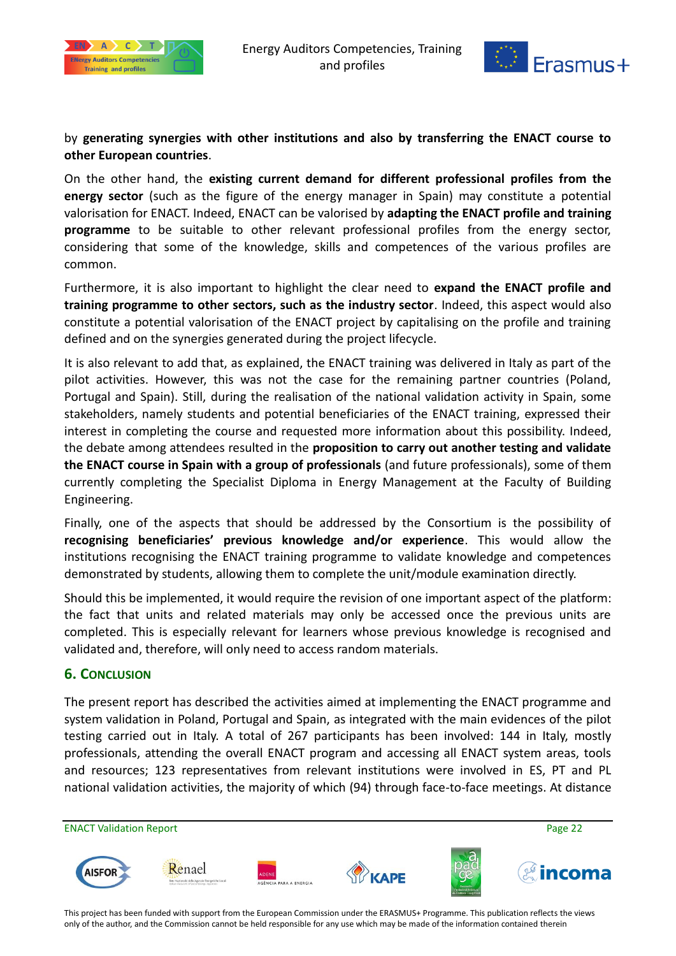



### by **generating synergies with other institutions and also by transferring the ENACT course to other European countries**.

On the other hand, the **existing current demand for different professional profiles from the energy sector** (such as the figure of the energy manager in Spain) may constitute a potential valorisation for ENACT. Indeed, ENACT can be valorised by **adapting the ENACT profile and training programme** to be suitable to other relevant professional profiles from the energy sector, considering that some of the knowledge, skills and competences of the various profiles are common.

Furthermore, it is also important to highlight the clear need to **expand the ENACT profile and training programme to other sectors, such as the industry sector**. Indeed, this aspect would also constitute a potential valorisation of the ENACT project by capitalising on the profile and training defined and on the synergies generated during the project lifecycle.

It is also relevant to add that, as explained, the ENACT training was delivered in Italy as part of the pilot activities. However, this was not the case for the remaining partner countries (Poland, Portugal and Spain). Still, during the realisation of the national validation activity in Spain, some stakeholders, namely students and potential beneficiaries of the ENACT training, expressed their interest in completing the course and requested more information about this possibility. Indeed, the debate among attendees resulted in the **proposition to carry out another testing and validate the ENACT course in Spain with a group of professionals** (and future professionals), some of them currently completing the Specialist Diploma in Energy Management at the Faculty of Building Engineering.

Finally, one of the aspects that should be addressed by the Consortium is the possibility of **recognising beneficiaries' previous knowledge and/or experience**. This would allow the institutions recognising the ENACT training programme to validate knowledge and competences demonstrated by students, allowing them to complete the unit/module examination directly.

Should this be implemented, it would require the revision of one important aspect of the platform: the fact that units and related materials may only be accessed once the previous units are completed. This is especially relevant for learners whose previous knowledge is recognised and validated and, therefore, will only need to access random materials.

#### <span id="page-21-0"></span>**6. CONCLUSION**

The present report has described the activities aimed at implementing the ENACT programme and system validation in Poland, Portugal and Spain, as integrated with the main evidences of the pilot testing carried out in Italy. A total of 267 participants has been involved: 144 in Italy, mostly professionals, attending the overall ENACT program and accessing all ENACT system areas, tools and resources; 123 representatives from relevant institutions were involved in ES, PT and PL national validation activities, the majority of which (94) through face-to-face meetings. At distance

ENACT Validation Report **Page 22** Renael **AISFOI**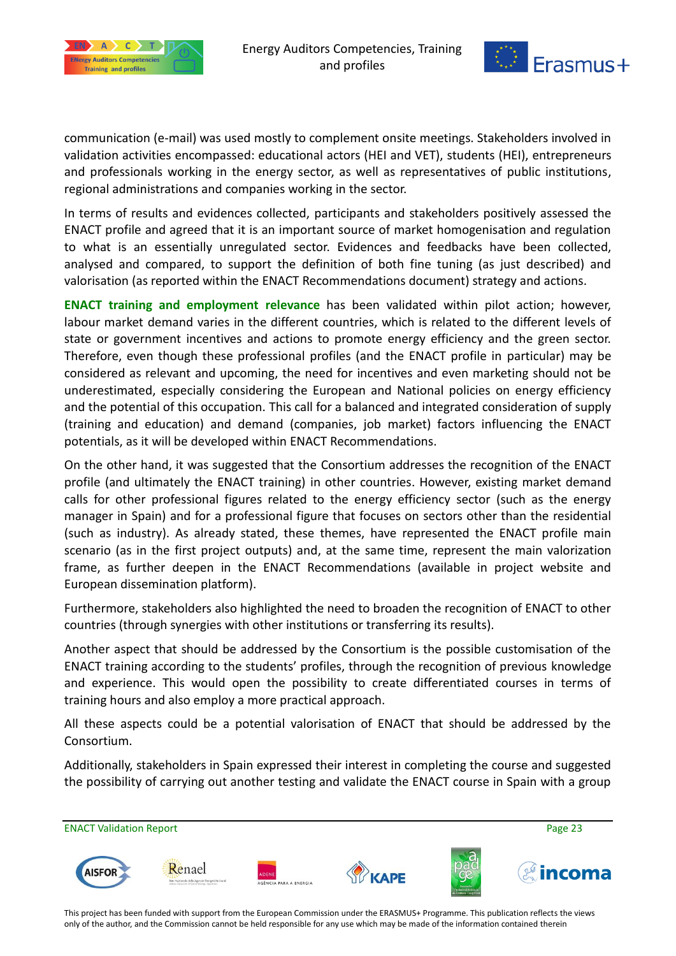



communication (e-mail) was used mostly to complement onsite meetings. Stakeholders involved in validation activities encompassed: educational actors (HEI and VET), students (HEI), entrepreneurs and professionals working in the energy sector, as well as representatives of public institutions, regional administrations and companies working in the sector.

In terms of results and evidences collected, participants and stakeholders positively assessed the ENACT profile and agreed that it is an important source of market homogenisation and regulation to what is an essentially unregulated sector. Evidences and feedbacks have been collected, analysed and compared, to support the definition of both fine tuning (as just described) and valorisation (as reported within the ENACT Recommendations document) strategy and actions.

**ENACT training and employment relevance** has been validated within pilot action; however, labour market demand varies in the different countries, which is related to the different levels of state or government incentives and actions to promote energy efficiency and the green sector. Therefore, even though these professional profiles (and the ENACT profile in particular) may be considered as relevant and upcoming, the need for incentives and even marketing should not be underestimated, especially considering the European and National policies on energy efficiency and the potential of this occupation. This call for a balanced and integrated consideration of supply (training and education) and demand (companies, job market) factors influencing the ENACT potentials, as it will be developed within ENACT Recommendations.

On the other hand, it was suggested that the Consortium addresses the recognition of the ENACT profile (and ultimately the ENACT training) in other countries. However, existing market demand calls for other professional figures related to the energy efficiency sector (such as the energy manager in Spain) and for a professional figure that focuses on sectors other than the residential (such as industry). As already stated, these themes, have represented the ENACT profile main scenario (as in the first project outputs) and, at the same time, represent the main valorization frame, as further deepen in the ENACT Recommendations (available in project website and European dissemination platform).

Furthermore, stakeholders also highlighted the need to broaden the recognition of ENACT to other countries (through synergies with other institutions or transferring its results).

Another aspect that should be addressed by the Consortium is the possible customisation of the ENACT training according to the students' profiles, through the recognition of previous knowledge and experience. This would open the possibility to create differentiated courses in terms of training hours and also employ a more practical approach.

All these aspects could be a potential valorisation of ENACT that should be addressed by the Consortium.

Additionally, stakeholders in Spain expressed their interest in completing the course and suggested the possibility of carrying out another testing and validate the ENACT course in Spain with a group